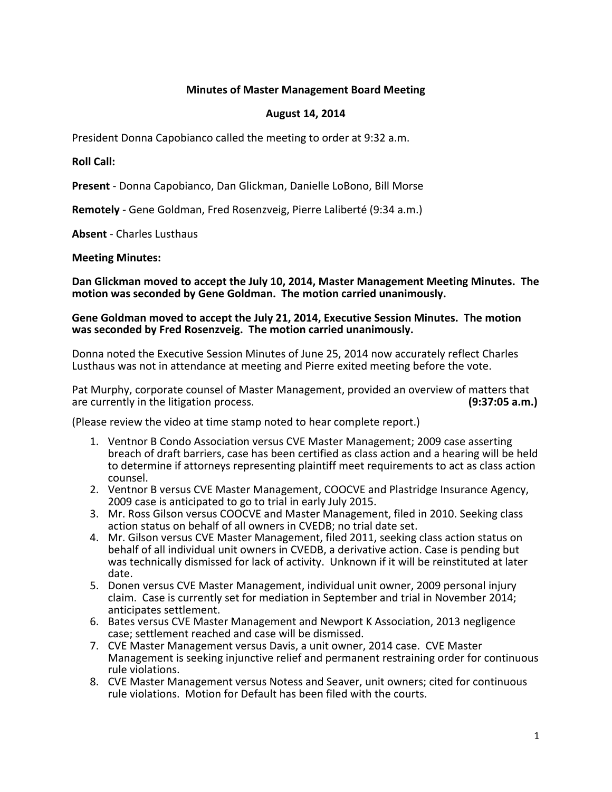# **Minutes of Master Management Board Meeting**

# **August 14, 2014**

President Donna Capobianco called the meeting to order at 9:32 a.m.

**Roll Call:**

**Present** - Donna Capobianco, Dan Glickman, Danielle LoBono, Bill Morse

**Remotely** - Gene Goldman, Fred Rosenzveig, Pierre Laliberté (9:34 a.m.)

**Absent** - Charles Lusthaus

# **Meeting Minutes:**

**Dan Glickman moved to accept the July 10, 2014, Master Management Meeting Minutes. The motion was seconded by Gene Goldman. The motion carried unanimously.**

# **Gene Goldman moved to accept the July 21, 2014, Executive Session Minutes. The motion was seconded by Fred Rosenzveig. The motion carried unanimously.**

Donna noted the Executive Session Minutes of June 25, 2014 now accurately reflect Charles Lusthaus was not in attendance at meeting and Pierre exited meeting before the vote.

Pat Murphy, corporate counsel of Master Management, provided an overview of matters that are currently in the litigation process. are currently in the litigation process.

(Please review the video at time stamp noted to hear complete report.)

- 1. Ventnor B Condo Association versus CVE Master Management; 2009 case asserting breach of draft barriers, case has been certified as class action and a hearing will be held to determine if attorneys representing plaintiff meet requirements to act as class action counsel.
- 2. Ventnor B versus CVE Master Management, COOCVE and Plastridge Insurance Agency, 2009 case is anticipated to go to trial in early July 2015.
- 3. Mr. Ross Gilson versus COOCVE and Master Management, filed in 2010. Seeking class action status on behalf of all owners in CVEDB; no trial date set.
- 4. Mr. Gilson versus CVE Master Management, filed 2011, seeking class action status on behalf of all individual unit owners in CVEDB, a derivative action. Case is pending but was technically dismissed for lack of activity. Unknown if it will be reinstituted at later date.
- 5. Donen versus CVE Master Management, individual unit owner, 2009 personal injury claim. Case is currently set for mediation in September and trial in November 2014; anticipates settlement.
- 6. Bates versus CVE Master Management and Newport K Association, 2013 negligence case; settlement reached and case will be dismissed.
- 7. CVE Master Management versus Davis, a unit owner, 2014 case. CVE Master Management is seeking injunctive relief and permanent restraining order for continuous rule violations.
- 8. CVE Master Management versus Notess and Seaver, unit owners; cited for continuous rule violations. Motion for Default has been filed with the courts.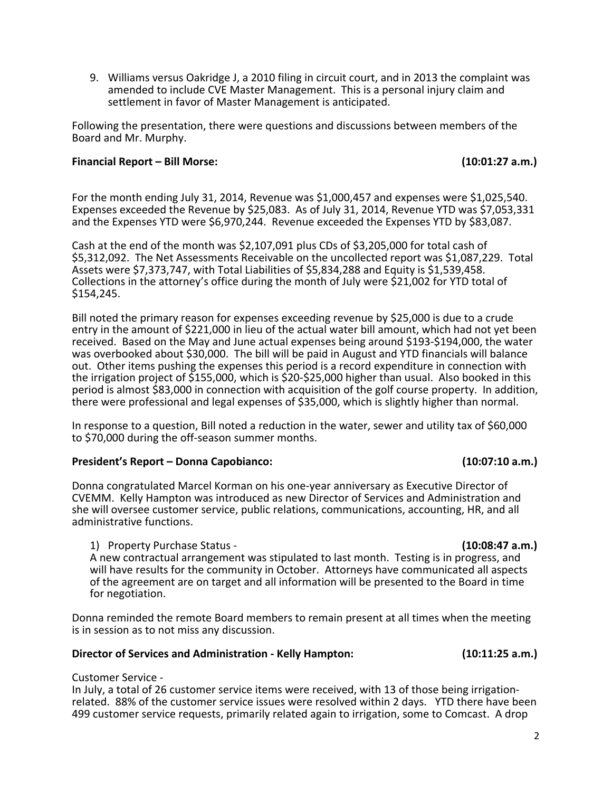9. Williams versus Oakridge J, a 2010 filing in circuit court, and in 2013 the complaint was amended to include CVE Master Management. This is a personal injury claim and settlement in favor of Master Management is anticipated.

Following the presentation, there were questions and discussions between members of the Board and Mr. Murphy.

# **Financial Report – Bill Morse: (10:01:27 a.m.)**

For the month ending July 31, 2014, Revenue was \$1,000,457 and expenses were \$1,025,540. Expenses exceeded the Revenue by \$25,083. As of July 31, 2014, Revenue YTD was \$7,053,331 and the Expenses YTD were \$6,970,244. Revenue exceeded the Expenses YTD by \$83,087.

Cash at the end of the month was \$2,107,091 plus CDs of \$3,205,000 for total cash of \$5,312,092. The Net Assessments Receivable on the uncollected report was \$1,087,229. Total Assets were \$7,373,747, with Total Liabilities of \$5,834,288 and Equity is \$1,539,458. Collections in the attorney's office during the month of July were \$21,002 for YTD total of \$154,245.

Bill noted the primary reason for expenses exceeding revenue by \$25,000 is due to a crude entry in the amount of \$221,000 in lieu of the actual water bill amount, which had not yet been received. Based on the May and June actual expenses being around \$193-\$194,000, the water was overbooked about \$30,000. The bill will be paid in August and YTD financials will balance out. Other items pushing the expenses this period is a record expenditure in connection with the irrigation project of \$155,000, which is \$20-\$25,000 higher than usual. Also booked in this period is almost \$83,000 in connection with acquisition of the golf course property. In addition, there were professional and legal expenses of \$35,000, which is slightly higher than normal.

In response to a question, Bill noted a reduction in the water, sewer and utility tax of \$60,000 to \$70,000 during the off-season summer months.

# **President's Report – Donna Capobianco: (10:07:10 a.m.)**

Donna congratulated Marcel Korman on his one-year anniversary as Executive Director of CVEMM. Kelly Hampton was introduced as new Director of Services and Administration and she will oversee customer service, public relations, communications, accounting, HR, and all administrative functions.

1) Property Purchase Status - **(10:08:47 a.m.)**

A new contractual arrangement was stipulated to last month. Testing is in progress, and will have results for the community in October. Attorneys have communicated all aspects of the agreement are on target and all information will be presented to the Board in time for negotiation.

Donna reminded the remote Board members to remain present at all times when the meeting is in session as to not miss any discussion.

# **Director of Services and Administration - Kelly Hampton: (10:11:25 a.m.)**

Customer Service -<br>In July, a total of 26 customer service items were received, with 13 of those being irrigation-<br>related. 88% of the customer service issues were resolved within 2 days. YTD there have been 499 customer service requests, primarily related again to irrigation, some to Comcast. A drop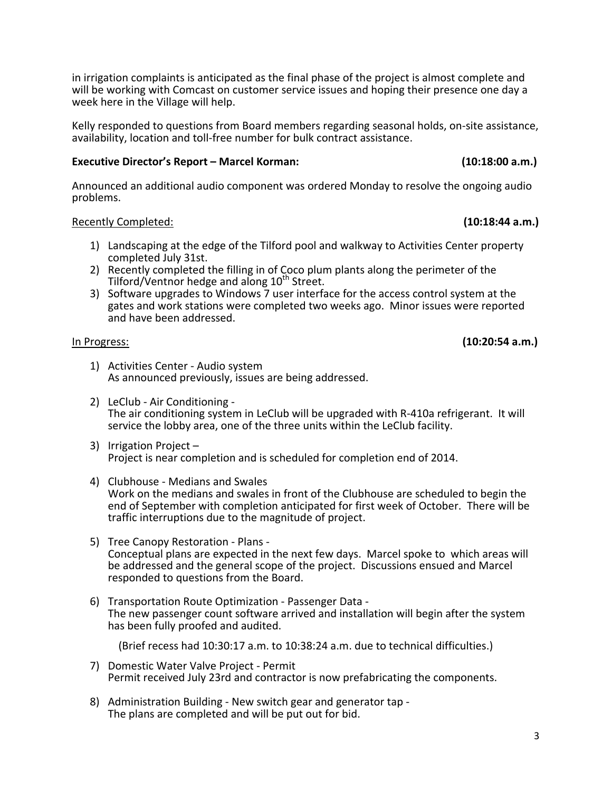in irrigation complaints is anticipated as the final phase of the project is almost complete and will be working with Comcast on customer service issues and hoping their presence one day a week here in the Village will help.

Kelly responded to questions from Board members regarding seasonal holds, on-site assistance, availability, location and toll-free number for bulk contract assistance.

# **Executive Director's Report – Marcel Korman: (10:18:00 a.m.)**

Announced an additional audio component was ordered Monday to resolve the ongoing audio problems.

# Recently Completed: **(10:18:44 a.m.)**

- 1) Landscaping at the edge of the Tilford pool and walkway to Activities Center property completed July 31st.
- 2) Recently completed the filling in of Coco plum plants along the perimeter of the Tilford/Ventnor hedge and along 10<sup>th</sup> Street.
- 3) Software upgrades to Windows 7 user interface for the access control system at the gates and work stations were completed two weeks ago. Minor issues were reported and have been addressed.

In Progress: **(10:20:54 a.m.)**

- 1) Activities Center Audio system As announced previously, issues are being addressed.
- 2) LeClub Air Conditioning The air conditioning system in LeClub will be upgraded with R-410a refrigerant. It will service the lobby area, one of the three units within the LeClub facility.
- 3) Irrigation Project Project is near completion and is scheduled for completion end of 2014.
- 4) Clubhouse Medians and Swales Work on the medians and swales in front of the Clubhouse are scheduled to begin the end of September with completion anticipated for first week of October. There will be traffic interruptions due to the magnitude of project.
- 5) Tree Canopy Restoration Plans Conceptual plans are expected in the next few days. Marcel spoke to which areas will be addressed and the general scope of the project. Discussions ensued and Marcel
- 6) Transportation Route Optimization Passenger Data -The new passenger count software arrived and installation will begin after the system has been fully proofed and audited.

(Brief recess had 10:30:17 a.m. to 10:38:24 a.m. due to technical difficulties.)

- 7) Domestic Water Valve Project Permit Permit received July 23rd and contractor is now prefabricating the components.
- 8) Administration Building New switch gear and generator tap The plans are completed and will be put out for bid.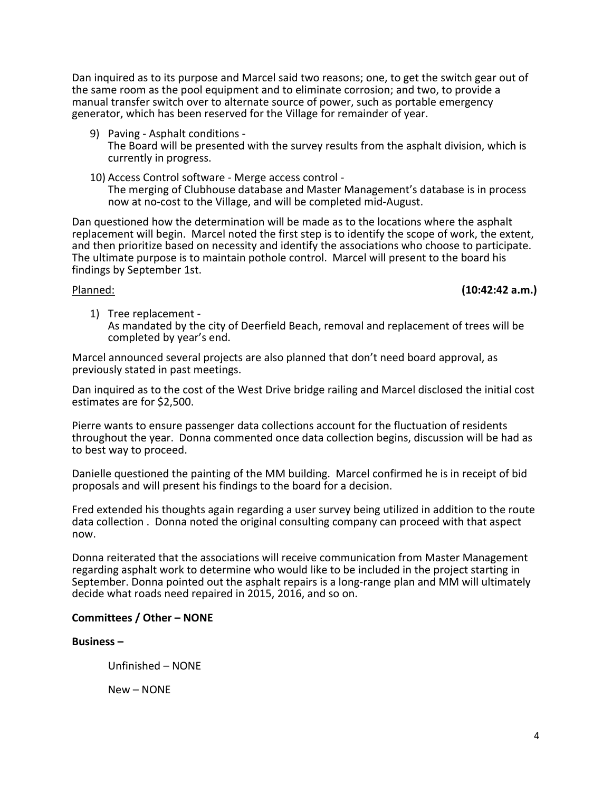Dan inquired as to its purpose and Marcel said two reasons; one, to get the switch gear out of the same room as the pool equipment and to eliminate corrosion; and two, to provide a manual transfer switch over to alternate source of power, such as portable emergency generator, which has been reserved for the Village for remainder of year.

- 9) Paving Asphalt conditions The Board will be presented with the survey results from the asphalt division, which is currently in progress.
- 10) Access Control software Merge access control The merging of Clubhouse database and Master Management's database is in process now at no-cost to the Village, and will be completed mid-August.

Dan questioned how the determination will be made as to the locations where the asphalt replacement will begin. Marcel noted the first step is to identify the scope of work, the extent, and then prioritize based on necessity and identify the associations who choose to participate.<br>The ultimate purpose is to maintain pothole control. Marcel will present to the board his findings by September 1st.

Planned: **(10:42:42 a.m.)**

1) Tree replacement - As mandated by the city of Deerfield Beach, removal and replacement of trees will be completed by year's end.

Marcel announced several projects are also planned that don't need board approval, as previously stated in past meetings.

Dan inquired as to the cost of the West Drive bridge railing and Marcel disclosed the initial cost estimates are for \$2,500.

Pierre wants to ensure passenger data collections account for the fluctuation of residents throughout the year. Donna commented once data collection begins, discussion will be had as to best way to proceed.

Danielle questioned the painting of the MM building. Marcel confirmed he is in receipt of bid proposals and will present his findings to the board for a decision.

Fred extended his thoughts again regarding a user survey being utilized in addition to the route data collection . Donna noted the original consulting company can proceed with that aspect now.

Donna reiterated that the associations will receive communication from Master Management regarding asphalt work to determine who would like to be included in the project starting in September. Donna pointed out the asphalt repairs is a long-range plan and MM will ultimately decide what roads need repaired in 2015, 2016, and so on.

# **Committees / Other – NONE**

# **Business –**

Unfinished – NONE

New – NONE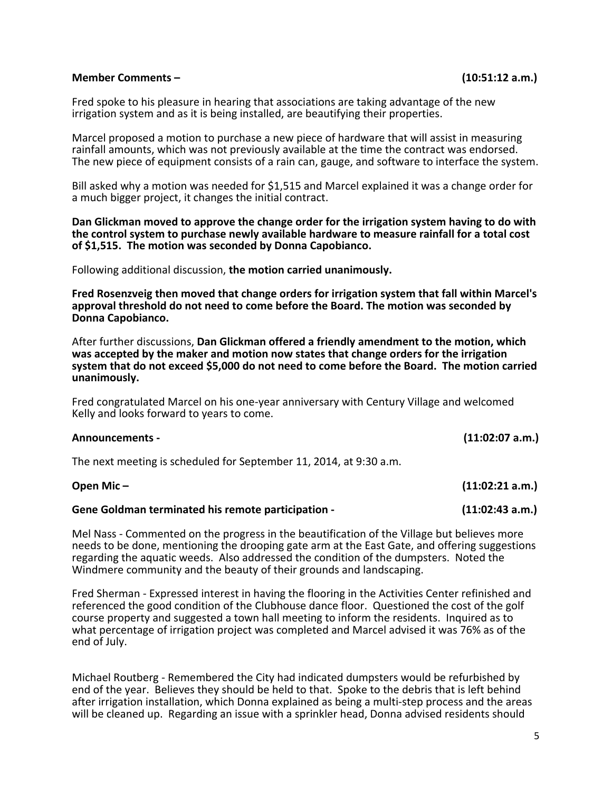### **Member Comments – (10:51:12 a.m.)**

Fred spoke to his pleasure in hearing that associations are taking advantage of the new irrigation system and as it is being installed, are beautifying their properties.

Marcel proposed a motion to purchase a new piece of hardware that will assist in measuring rainfall amounts, which was not previously available at the time the contract was endorsed. The new piece of equipment consists of a rain can, gauge, and software to interface the system.

Bill asked why a motion was needed for \$1,515 and Marcel explained it was a change order for a much bigger project, it changes the initial contract.

**Dan Glickman moved to approve the change order for the irrigation system having to do with the control system to purchase newly available hardware to measure rainfall for a total cost of \$1,515. The motion was seconded by Donna Capobianco.**

Following additional discussion, **the motion carried unanimously.**

**Fred Rosenzveig then moved that change orders for irrigation system that fall within Marcel's approval threshold do not need to come before the Board. The motion was seconded by Donna Capobianco.** 

After further discussions, **Dan Glickman offered a friendly amendment to the motion, which was accepted by the maker and motion now states that change orders for the irrigation system that do not exceed \$5,000 do not need to come before the Board. The motion carried unanimously.**

Fred congratulated Marcel on his one-year anniversary with Century Village and welcomed Kelly and looks forward to years to come.

### **Announcements - (11:02:07 a.m.)**

The next meeting is scheduled for September 11, 2014, at 9:30 a.m.

| Open Mic $-$                                       | (11:02:21 a.m.) |
|----------------------------------------------------|-----------------|
| Gene Goldman terminated his remote participation - | (11:02:43 a.m.) |

Mel Nass - Commented on the progress in the beautification of the Village but believes more needs to be done, mentioning the drooping gate arm at the East Gate, and offering suggestions regarding the aquatic weeds. Also addressed the condition of the dumpsters. Noted the Windmere community and the beauty of their grounds and landscaping.

Fred Sherman - Expressed interest in having the flooring in the Activities Center refinished and referenced the good condition of the Clubhouse dance floor. Questioned the cost of the golf course property and suggested a town hall meeting to inform the residents. Inquired as to what percentage of irrigation project was completed and Marcel advised it was 76% as of the end of July.

Michael Routberg - Remembered the City had indicated dumpsters would be refurbished by end of the year. Believes they should be held to that. Spoke to the debris that is left behind after irrigation installation, which Donna explained as being a multi-step process and the areas will be cleaned up. Regarding an issue with a sprinkler head, Donna advised residents should